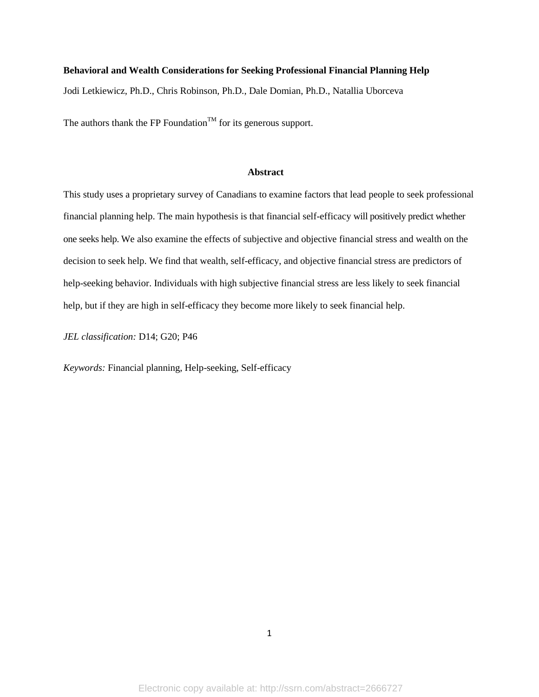# **Behavioral and Wealth Considerations for Seeking Professional Financial Planning Help**

Jodi Letkiewicz, Ph.D., Chris Robinson, Ph.D., Dale Domian, Ph.D., Natallia Uborceva

The authors thank the FP Foundation<sup>TM</sup> for its generous support.

#### **Abstract**

This study uses a proprietary survey of Canadians to examine factors that lead people to seek professional financial planning help. The main hypothesis is that financial self-efficacy will positively predict whether one seeks help. We also examine the effects of subjective and objective financial stress and wealth on the decision to seek help. We find that wealth, self-efficacy, and objective financial stress are predictors of help-seeking behavior. Individuals with high subjective financial stress are less likely to seek financial help, but if they are high in self-efficacy they become more likely to seek financial help.

*JEL classification:* D14; G20; P46

*Keywords:* Financial planning, Help-seeking, Self-efficacy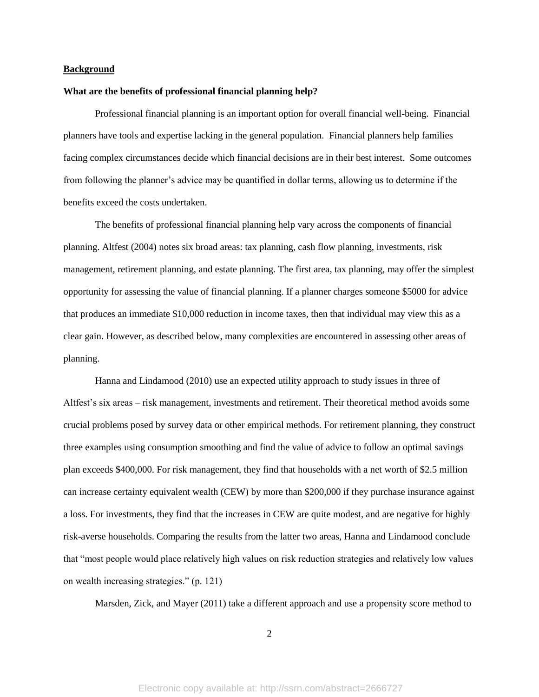#### **Background**

#### **What are the benefits of professional financial planning help?**

Professional financial planning is an important option for overall financial well-being. Financial planners have tools and expertise lacking in the general population. Financial planners help families facing complex circumstances decide which financial decisions are in their best interest. Some outcomes from following the planner's advice may be quantified in dollar terms, allowing us to determine if the benefits exceed the costs undertaken.

The benefits of professional financial planning help vary across the components of financial planning. Altfest (2004) notes six broad areas: tax planning, cash flow planning, investments, risk management, retirement planning, and estate planning. The first area, tax planning, may offer the simplest opportunity for assessing the value of financial planning. If a planner charges someone \$5000 for advice that produces an immediate \$10,000 reduction in income taxes, then that individual may view this as a clear gain. However, as described below, many complexities are encountered in assessing other areas of planning.

Hanna and Lindamood (2010) use an expected utility approach to study issues in three of Altfest's six areas – risk management, investments and retirement. Their theoretical method avoids some crucial problems posed by survey data or other empirical methods. For retirement planning, they construct three examples using consumption smoothing and find the value of advice to follow an optimal savings plan exceeds \$400,000. For risk management, they find that households with a net worth of \$2.5 million can increase certainty equivalent wealth (CEW) by more than \$200,000 if they purchase insurance against a loss. For investments, they find that the increases in CEW are quite modest, and are negative for highly risk-averse households. Comparing the results from the latter two areas, Hanna and Lindamood conclude that "most people would place relatively high values on risk reduction strategies and relatively low values on wealth increasing strategies." (p. 121)

Marsden, Zick, and Mayer (2011) take a different approach and use a propensity score method to

2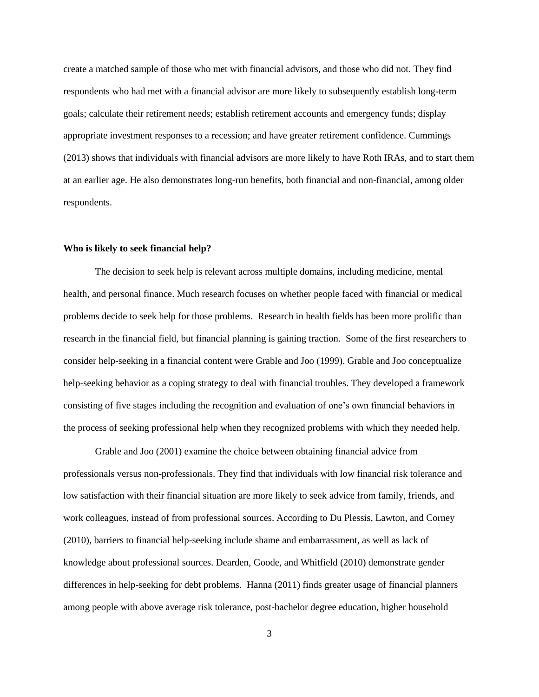create a matched sample of those who met with financial advisors, and those who did not. They find respondents who had met with a financial advisor are more likely to subsequently establish long-term goals; calculate their retirement needs; establish retirement accounts and emergency funds; display appropriate investment responses to a recession; and have greater retirement confidence. Cummings (2013) shows that individuals with financial advisors are more likely to have Roth IRAs, and to start them at an earlier age. He also demonstrates long-run benefits, both financial and non-financial, among older respondents.

#### **Who is likely to seek financial help?**

The decision to seek help is relevant across multiple domains, including medicine, mental health, and personal finance. Much research focuses on whether people faced with financial or medical problems decide to seek help for those problems. Research in health fields has been more prolific than research in the financial field, but financial planning is gaining traction. Some of the first researchers to consider help-seeking in a financial content were Grable and Joo (1999). Grable and Joo conceptualize help-seeking behavior as a coping strategy to deal with financial troubles. They developed a framework consisting of five stages including the recognition and evaluation of one's own financial behaviors in the process of seeking professional help when they recognized problems with which they needed help.

Grable and Joo (2001) examine the choice between obtaining financial advice from professionals versus non-professionals. They find that individuals with low financial risk tolerance and low satisfaction with their financial situation are more likely to seek advice from family, friends, and work colleagues, instead of from professional sources. According to Du Plessis, Lawton, and Corney (2010), barriers to financial help-seeking include shame and embarrassment, as well as lack of knowledge about professional sources. Dearden, Goode, and Whitfield (2010) demonstrate gender differences in help-seeking for debt problems. Hanna (2011) finds greater usage of financial planners among people with above average risk tolerance, post-bachelor degree education, higher household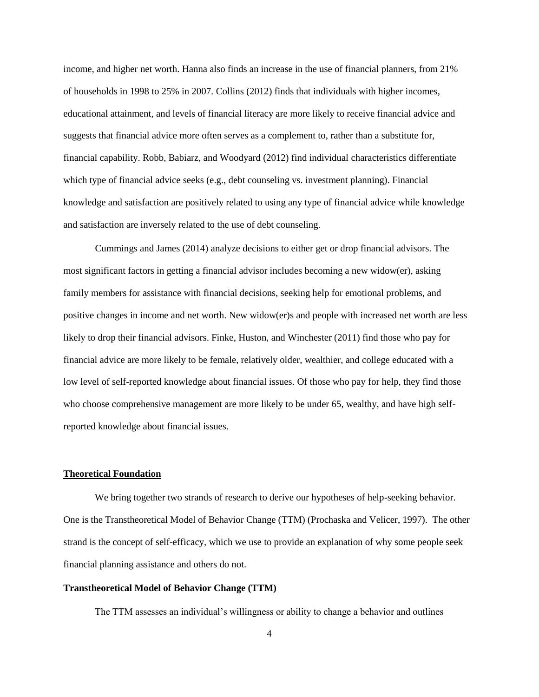income, and higher net worth. Hanna also finds an increase in the use of financial planners, from 21% of households in 1998 to 25% in 2007. Collins (2012) finds that individuals with higher incomes, educational attainment, and levels of financial literacy are more likely to receive financial advice and suggests that financial advice more often serves as a complement to, rather than a substitute for, financial capability. Robb, Babiarz, and Woodyard (2012) find individual characteristics differentiate which type of financial advice seeks (e.g., debt counseling vs. investment planning). Financial knowledge and satisfaction are positively related to using any type of financial advice while knowledge and satisfaction are inversely related to the use of debt counseling.

Cummings and James (2014) analyze decisions to either get or drop financial advisors. The most significant factors in getting a financial advisor includes becoming a new widow(er), asking family members for assistance with financial decisions, seeking help for emotional problems, and positive changes in income and net worth. New widow(er)s and people with increased net worth are less likely to drop their financial advisors. Finke, Huston, and Winchester (2011) find those who pay for financial advice are more likely to be female, relatively older, wealthier, and college educated with a low level of self-reported knowledge about financial issues. Of those who pay for help, they find those who choose comprehensive management are more likely to be under 65, wealthy, and have high selfreported knowledge about financial issues.

### **Theoretical Foundation**

We bring together two strands of research to derive our hypotheses of help-seeking behavior. One is the Transtheoretical Model of Behavior Change (TTM) (Prochaska and Velicer, 1997). The other strand is the concept of self-efficacy, which we use to provide an explanation of why some people seek financial planning assistance and others do not.

## **Transtheoretical Model of Behavior Change (TTM)**

The TTM assesses an individual's willingness or ability to change a behavior and outlines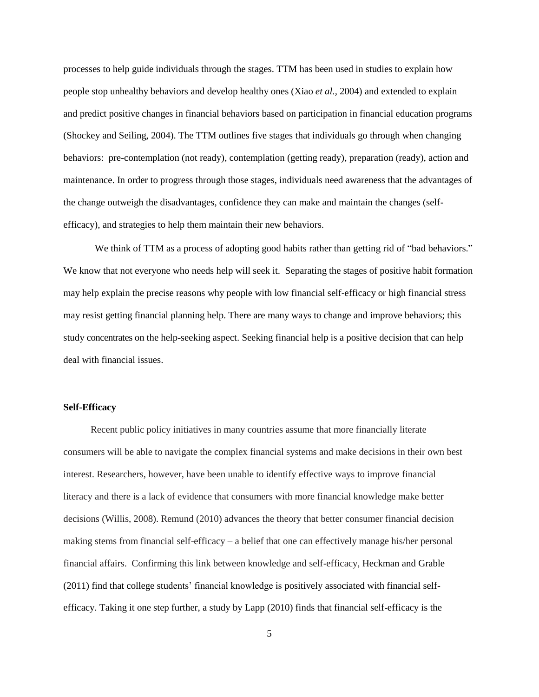processes to help guide individuals through the stages. TTM has been used in studies to explain how people stop unhealthy behaviors and develop healthy ones (Xiao *et al.*, 2004) and extended to explain and predict positive changes in financial behaviors based on participation in financial education programs (Shockey and Seiling, 2004). The TTM outlines five stages that individuals go through when changing behaviors: pre-contemplation (not ready), contemplation (getting ready), preparation (ready), action and maintenance. In order to progress through those stages, individuals need awareness that the advantages of the change outweigh the disadvantages, confidence they can make and maintain the changes (selfefficacy), and strategies to help them maintain their new behaviors.

We think of TTM as a process of adopting good habits rather than getting rid of "bad behaviors." We know that not everyone who needs help will seek it. Separating the stages of positive habit formation may help explain the precise reasons why people with low financial self-efficacy or high financial stress may resist getting financial planning help. There are many ways to change and improve behaviors; this study concentrates on the help-seeking aspect. Seeking financial help is a positive decision that can help deal with financial issues.

# **Self-Efficacy**

Recent public policy initiatives in many countries assume that more financially literate consumers will be able to navigate the complex financial systems and make decisions in their own best interest. Researchers, however, have been unable to identify effective ways to improve financial literacy and there is a lack of evidence that consumers with more financial knowledge make better decisions (Willis, 2008). Remund (2010) advances the theory that better consumer financial decision making stems from financial self-efficacy  $-$  a belief that one can effectively manage his/her personal financial affairs. Confirming this link between knowledge and self-efficacy, Heckman and Grable (2011) find that college students' financial knowledge is positively associated with financial selfefficacy. Taking it one step further, a study by Lapp (2010) finds that financial self-efficacy is the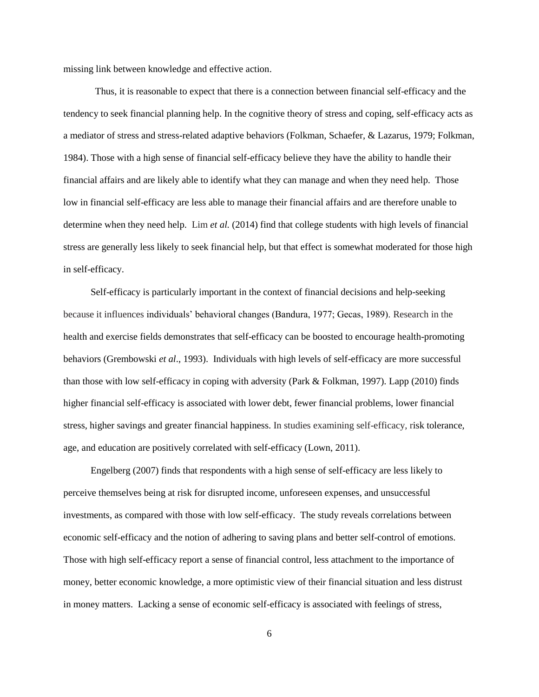missing link between knowledge and effective action.

Thus, it is reasonable to expect that there is a connection between financial self-efficacy and the tendency to seek financial planning help. In the cognitive theory of stress and coping, self-efficacy acts as a mediator of stress and stress-related adaptive behaviors (Folkman, Schaefer, & Lazarus, 1979; Folkman, 1984). Those with a high sense of financial self-efficacy believe they have the ability to handle their financial affairs and are likely able to identify what they can manage and when they need help. Those low in financial self-efficacy are less able to manage their financial affairs and are therefore unable to determine when they need help. Lim *et al.* (2014) find that college students with high levels of financial stress are generally less likely to seek financial help, but that effect is somewhat moderated for those high in self-efficacy.

Self-efficacy is particularly important in the context of financial decisions and help-seeking because it influences individuals' behavioral changes (Bandura, 1977; Gecas, 1989). Research in the health and exercise fields demonstrates that self-efficacy can be boosted to encourage health-promoting behaviors (Grembowski *et al*., 1993). Individuals with high levels of self-efficacy are more successful than those with low self-efficacy in coping with adversity (Park & Folkman, 1997). Lapp (2010) finds higher financial self-efficacy is associated with lower debt, fewer financial problems, lower financial stress, higher savings and greater financial happiness. In studies examining self-efficacy, risk tolerance, age, and education are positively correlated with self-efficacy (Lown, 2011).

Engelberg (2007) finds that respondents with a high sense of self-efficacy are less likely to perceive themselves being at risk for disrupted income, unforeseen expenses, and unsuccessful investments, as compared with those with low self-efficacy. The study reveals correlations between economic self-efficacy and the notion of adhering to saving plans and better self-control of emotions. Those with high self-efficacy report a sense of financial control, less attachment to the importance of money, better economic knowledge, a more optimistic view of their financial situation and less distrust in money matters. Lacking a sense of economic self-efficacy is associated with feelings of stress,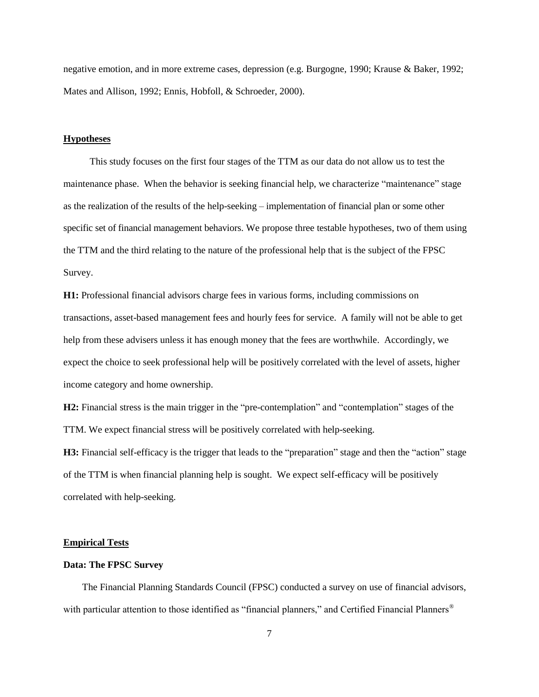negative emotion, and in more extreme cases, depression (e.g. Burgogne, 1990; Krause & Baker, 1992; Mates and Allison, 1992; Ennis, Hobfoll, & Schroeder, 2000).

#### **Hypotheses**

This study focuses on the first four stages of the TTM as our data do not allow us to test the maintenance phase. When the behavior is seeking financial help, we characterize "maintenance" stage as the realization of the results of the help-seeking – implementation of financial plan or some other specific set of financial management behaviors. We propose three testable hypotheses, two of them using the TTM and the third relating to the nature of the professional help that is the subject of the FPSC Survey.

**H1:** Professional financial advisors charge fees in various forms, including commissions on transactions, asset-based management fees and hourly fees for service. A family will not be able to get help from these advisers unless it has enough money that the fees are worthwhile. Accordingly, we expect the choice to seek professional help will be positively correlated with the level of assets, higher income category and home ownership.

**H2:** Financial stress is the main trigger in the "pre-contemplation" and "contemplation" stages of the TTM. We expect financial stress will be positively correlated with help-seeking.

**H3:** Financial self-efficacy is the trigger that leads to the "preparation" stage and then the "action" stage of the TTM is when financial planning help is sought. We expect self-efficacy will be positively correlated with help-seeking.

## **Empirical Tests**

#### **Data: The FPSC Survey**

The Financial Planning Standards Council (FPSC) conducted a survey on use of financial advisors, with particular attention to those identified as "financial planners," and Certified Financial Planners<sup>®</sup>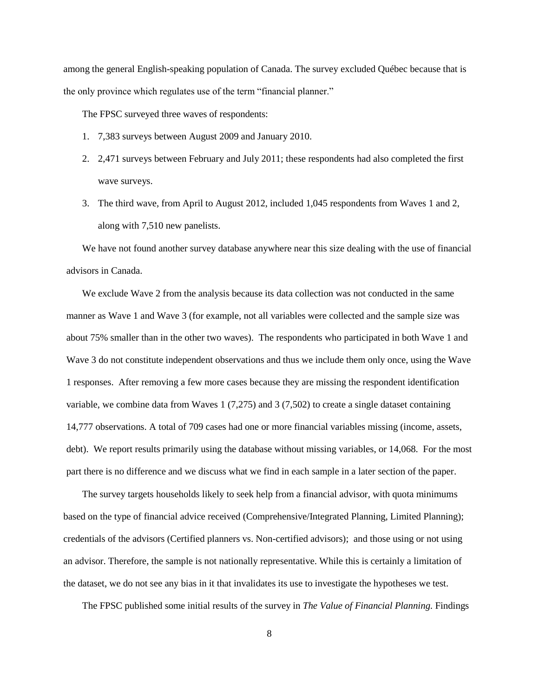among the general English-speaking population of Canada. The survey excluded Québec because that is the only province which regulates use of the term "financial planner."

The FPSC surveyed three waves of respondents:

- 1. 7,383 surveys between August 2009 and January 2010.
- 2. 2,471 surveys between February and July 2011; these respondents had also completed the first wave surveys.
- 3. The third wave, from April to August 2012, included 1,045 respondents from Waves 1 and 2, along with 7,510 new panelists.

We have not found another survey database anywhere near this size dealing with the use of financial advisors in Canada.

We exclude Wave 2 from the analysis because its data collection was not conducted in the same manner as Wave 1 and Wave 3 (for example, not all variables were collected and the sample size was about 75% smaller than in the other two waves). The respondents who participated in both Wave 1 and Wave 3 do not constitute independent observations and thus we include them only once, using the Wave 1 responses. After removing a few more cases because they are missing the respondent identification variable, we combine data from Waves 1 (7,275) and 3 (7,502) to create a single dataset containing 14,777 observations. A total of 709 cases had one or more financial variables missing (income, assets, debt). We report results primarily using the database without missing variables, or 14,068. For the most part there is no difference and we discuss what we find in each sample in a later section of the paper.

The survey targets households likely to seek help from a financial advisor, with quota minimums based on the type of financial advice received (Comprehensive/Integrated Planning, Limited Planning); credentials of the advisors (Certified planners vs. Non-certified advisors); and those using or not using an advisor. Therefore, the sample is not nationally representative. While this is certainly a limitation of the dataset, we do not see any bias in it that invalidates its use to investigate the hypotheses we test.

The FPSC published some initial results of the survey in *The Value of Financial Planning.* Findings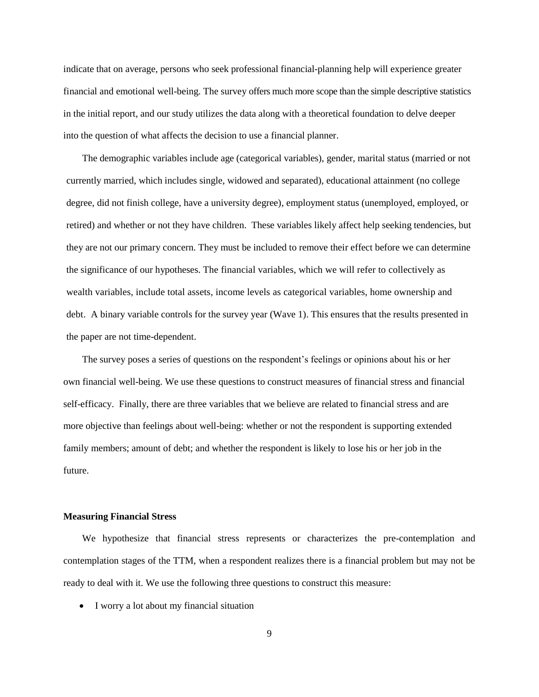indicate that on average, persons who seek professional financial-planning help will experience greater financial and emotional well-being. The survey offers much more scope than the simple descriptive statistics in the initial report, and our study utilizes the data along with a theoretical foundation to delve deeper into the question of what affects the decision to use a financial planner.

The demographic variables include age (categorical variables), gender, marital status (married or not currently married, which includes single, widowed and separated), educational attainment (no college degree, did not finish college, have a university degree), employment status (unemployed, employed, or retired) and whether or not they have children. These variables likely affect help seeking tendencies, but they are not our primary concern. They must be included to remove their effect before we can determine the significance of our hypotheses. The financial variables, which we will refer to collectively as wealth variables, include total assets, income levels as categorical variables, home ownership and debt. A binary variable controls for the survey year (Wave 1). This ensures that the results presented in the paper are not time-dependent.

The survey poses a series of questions on the respondent's feelings or opinions about his or her own financial well-being. We use these questions to construct measures of financial stress and financial self-efficacy. Finally, there are three variables that we believe are related to financial stress and are more objective than feelings about well-being: whether or not the respondent is supporting extended family members; amount of debt; and whether the respondent is likely to lose his or her job in the future.

#### **Measuring Financial Stress**

We hypothesize that financial stress represents or characterizes the pre-contemplation and contemplation stages of the TTM, when a respondent realizes there is a financial problem but may not be ready to deal with it. We use the following three questions to construct this measure:

I worry a lot about my financial situation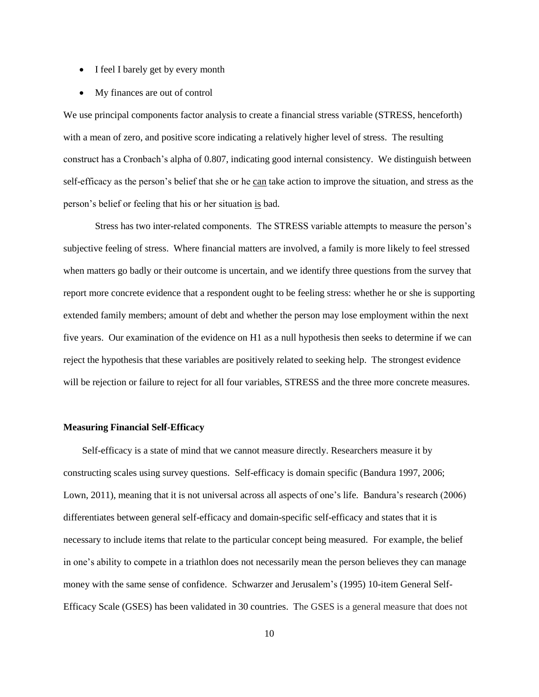- I feel I barely get by every month
- My finances are out of control

We use principal components factor analysis to create a financial stress variable (STRESS, henceforth) with a mean of zero, and positive score indicating a relatively higher level of stress. The resulting construct has a Cronbach's alpha of 0.807, indicating good internal consistency. We distinguish between self-efficacy as the person's belief that she or he can take action to improve the situation, and stress as the person's belief or feeling that his or her situation is bad.

Stress has two inter-related components. The STRESS variable attempts to measure the person's subjective feeling of stress. Where financial matters are involved, a family is more likely to feel stressed when matters go badly or their outcome is uncertain, and we identify three questions from the survey that report more concrete evidence that a respondent ought to be feeling stress: whether he or she is supporting extended family members; amount of debt and whether the person may lose employment within the next five years. Our examination of the evidence on H1 as a null hypothesis then seeks to determine if we can reject the hypothesis that these variables are positively related to seeking help. The strongest evidence will be rejection or failure to reject for all four variables, STRESS and the three more concrete measures.

#### **Measuring Financial Self-Efficacy**

Self-efficacy is a state of mind that we cannot measure directly. Researchers measure it by constructing scales using survey questions. Self-efficacy is domain specific (Bandura 1997, 2006; Lown, 2011), meaning that it is not universal across all aspects of one's life. Bandura's research (2006) differentiates between general self-efficacy and domain-specific self-efficacy and states that it is necessary to include items that relate to the particular concept being measured. For example, the belief in one's ability to compete in a triathlon does not necessarily mean the person believes they can manage money with the same sense of confidence. Schwarzer and Jerusalem's (1995) 10-item General Self-Efficacy Scale (GSES) has been validated in 30 countries. The GSES is a general measure that does not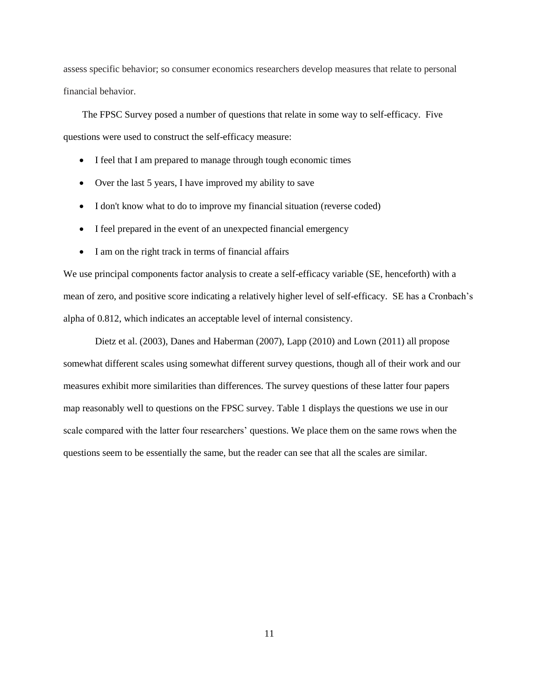assess specific behavior; so consumer economics researchers develop measures that relate to personal financial behavior.

The FPSC Survey posed a number of questions that relate in some way to self-efficacy. Five questions were used to construct the self-efficacy measure:

- I feel that I am prepared to manage through tough economic times
- Over the last 5 years, I have improved my ability to save
- I don't know what to do to improve my financial situation (reverse coded)
- I feel prepared in the event of an unexpected financial emergency
- I am on the right track in terms of financial affairs

We use principal components factor analysis to create a self-efficacy variable (SE, henceforth) with a mean of zero, and positive score indicating a relatively higher level of self-efficacy. SE has a Cronbach's alpha of 0.812, which indicates an acceptable level of internal consistency.

Dietz et al. (2003), Danes and Haberman (2007), Lapp (2010) and Lown (2011) all propose somewhat different scales using somewhat different survey questions, though all of their work and our measures exhibit more similarities than differences. The survey questions of these latter four papers map reasonably well to questions on the FPSC survey. Table 1 displays the questions we use in our scale compared with the latter four researchers' questions. We place them on the same rows when the questions seem to be essentially the same, but the reader can see that all the scales are similar.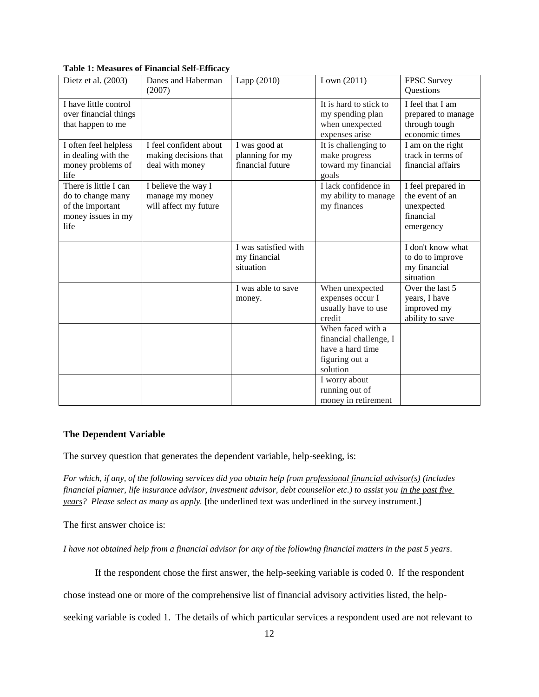| <b>Table 1: Measures of Financial Self-Efficacy</b> |  |  |
|-----------------------------------------------------|--|--|
|-----------------------------------------------------|--|--|

| Dietz et al. (2003)                                                                          | Danes and Haberman<br>(2007)                                       | Lapp (2010)                                          | Lown (2011)                                                                                   | FPSC Survey<br>Questions                                                      |
|----------------------------------------------------------------------------------------------|--------------------------------------------------------------------|------------------------------------------------------|-----------------------------------------------------------------------------------------------|-------------------------------------------------------------------------------|
| I have little control<br>over financial things<br>that happen to me                          |                                                                    |                                                      | It is hard to stick to<br>my spending plan<br>when unexpected<br>expenses arise               | I feel that I am<br>prepared to manage<br>through tough<br>economic times     |
| I often feel helpless<br>in dealing with the<br>money problems of<br>life                    | I feel confident about<br>making decisions that<br>deal with money | I was good at<br>planning for my<br>financial future | It is challenging to<br>make progress<br>toward my financial<br>goals                         | I am on the right<br>track in terms of<br>financial affairs                   |
| There is little I can<br>do to change many<br>of the important<br>money issues in my<br>life | I believe the way I<br>manage my money<br>will affect my future    |                                                      | I lack confidence in<br>my ability to manage<br>my finances                                   | I feel prepared in<br>the event of an<br>unexpected<br>financial<br>emergency |
|                                                                                              |                                                                    | I was satisfied with<br>my financial<br>situation    |                                                                                               | I don't know what<br>to do to improve<br>my financial<br>situation            |
|                                                                                              |                                                                    | I was able to save<br>money.                         | When unexpected<br>expenses occur I<br>usually have to use<br>credit                          | Over the last 5<br>years, I have<br>improved my<br>ability to save            |
|                                                                                              |                                                                    |                                                      | When faced with a<br>financial challenge, I<br>have a hard time<br>figuring out a<br>solution |                                                                               |
|                                                                                              |                                                                    |                                                      | I worry about<br>running out of<br>money in retirement                                        |                                                                               |

#### **The Dependent Variable**

The survey question that generates the dependent variable, help-seeking, is:

*For which, if any, of the following services did you obtain help from professional financial advisor(s) (includes financial planner, life insurance advisor, investment advisor, debt counsellor etc.) to assist you in the past five years? Please select as many as apply.* [the underlined text was underlined in the survey instrument.]

The first answer choice is:

*I have not obtained help from a financial advisor for any of the following financial matters in the past 5 years.*

If the respondent chose the first answer, the help-seeking variable is coded 0. If the respondent

chose instead one or more of the comprehensive list of financial advisory activities listed, the help-

seeking variable is coded 1. The details of which particular services a respondent used are not relevant to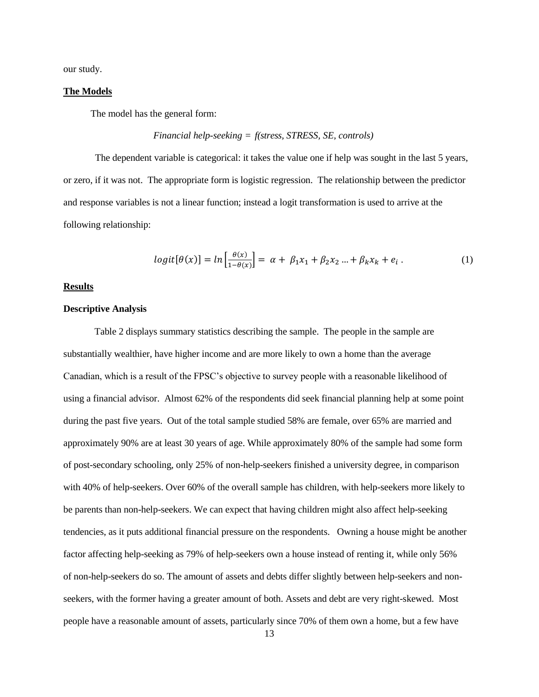our study.

### **The Models**

The model has the general form:

# *Financial help-seeking = f(stress, STRESS, SE, controls)*

The dependent variable is categorical: it takes the value one if help was sought in the last 5 years, or zero, if it was not. The appropriate form is logistic regression. The relationship between the predictor and response variables is not a linear function; instead a logit transformation is used to arrive at the following relationship:

$$
logit[\theta(x)] = ln\left[\frac{\theta(x)}{1 - \theta(x)}\right] = \alpha + \beta_1 x_1 + \beta_2 x_2 ... + \beta_k x_k + e_i.
$$
 (1)

## **Results**

#### **Descriptive Analysis**

Table 2 displays summary statistics describing the sample. The people in the sample are substantially wealthier, have higher income and are more likely to own a home than the average Canadian, which is a result of the FPSC's objective to survey people with a reasonable likelihood of using a financial advisor. Almost 62% of the respondents did seek financial planning help at some point during the past five years. Out of the total sample studied 58% are female, over 65% are married and approximately 90% are at least 30 years of age. While approximately 80% of the sample had some form of post-secondary schooling, only 25% of non-help-seekers finished a university degree, in comparison with 40% of help-seekers. Over 60% of the overall sample has children, with help-seekers more likely to be parents than non-help-seekers. We can expect that having children might also affect help-seeking tendencies, as it puts additional financial pressure on the respondents. Owning a house might be another factor affecting help-seeking as 79% of help-seekers own a house instead of renting it, while only 56% of non-help-seekers do so. The amount of assets and debts differ slightly between help-seekers and nonseekers, with the former having a greater amount of both. Assets and debt are very right-skewed. Most people have a reasonable amount of assets, particularly since 70% of them own a home, but a few have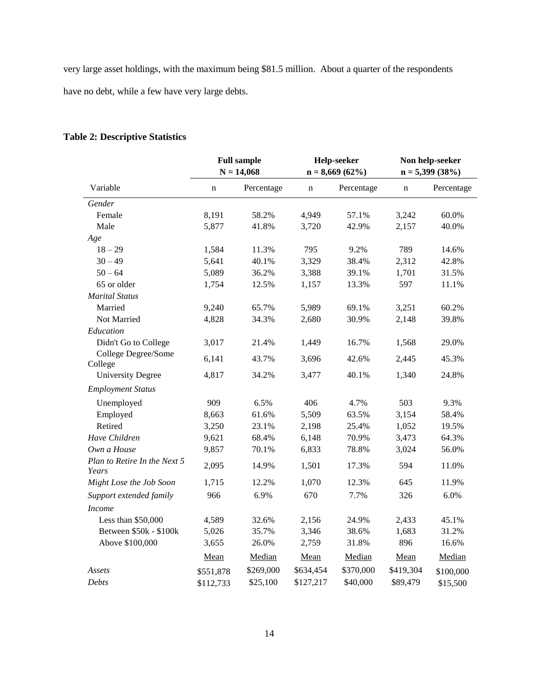very large asset holdings, with the maximum being \$81.5 million. About a quarter of the respondents have no debt, while a few have very large debts.

# **Table 2: Descriptive Statistics**

|                                       | <b>Full sample</b>        |              |                           | Help-seeker |                  | Non help-seeker |  |
|---------------------------------------|---------------------------|--------------|---------------------------|-------------|------------------|-----------------|--|
|                                       |                           | $N = 14,068$ | $n = 8,669(62%)$          |             | $n = 5,399(38%)$ |                 |  |
| Variable                              | Percentage<br>$\mathbf n$ |              | Percentage<br>$\mathbf n$ |             | $\mathbf n$      | Percentage      |  |
| Gender                                |                           |              |                           |             |                  |                 |  |
| Female                                | 8,191                     | 58.2%        | 4,949                     | 57.1%       | 3,242            | 60.0%           |  |
| Male                                  | 5,877                     | 41.8%        | 3,720                     | 42.9%       | 2,157            | 40.0%           |  |
| Age                                   |                           |              |                           |             |                  |                 |  |
| $18 - 29$                             | 1,584                     | 11.3%        | 795                       | 9.2%        | 789              | 14.6%           |  |
| $30 - 49$                             | 5,641                     | 40.1%        | 3,329                     | 38.4%       | 2,312            | 42.8%           |  |
| $50 - 64$                             | 5,089                     | 36.2%        | 3,388                     | 39.1%       | 1,701            | 31.5%           |  |
| 65 or older                           | 1,754                     | 12.5%        | 1,157                     | 13.3%       | 597              | 11.1%           |  |
| <b>Marital Status</b>                 |                           |              |                           |             |                  |                 |  |
| Married                               | 9,240                     | 65.7%        | 5,989                     | 69.1%       | 3,251            | 60.2%           |  |
| Not Married                           | 4,828                     | 34.3%        | 2,680                     | 30.9%       | 2,148            | 39.8%           |  |
| Education                             |                           |              |                           |             |                  |                 |  |
| Didn't Go to College                  | 3,017                     | 21.4%        | 1,449                     | 16.7%       | 1,568            | 29.0%           |  |
| College Degree/Some<br>College        | 6,141                     | 43.7%        | 3,696                     | 42.6%       | 2,445            | 45.3%           |  |
| <b>University Degree</b>              | 4,817                     | 34.2%        | 3,477                     | 40.1%       | 1,340            | 24.8%           |  |
| <b>Employment Status</b>              |                           |              |                           |             |                  |                 |  |
| Unemployed                            | 909                       | 6.5%         | 406                       | 4.7%        | 503              | 9.3%            |  |
| Employed                              | 8,663                     | 61.6%        | 5,509                     | 63.5%       | 3,154            | 58.4%           |  |
| Retired                               | 3,250                     | 23.1%        | 2,198                     | 25.4%       | 1,052            | 19.5%           |  |
| Have Children                         | 9,621                     | 68.4%        | 6,148                     | 70.9%       | 3,473            | 64.3%           |  |
| Own a House                           | 9,857                     | 70.1%        | 6,833                     | 78.8%       | 3,024            | 56.0%           |  |
| Plan to Retire In the Next 5<br>Years | 2,095                     | 14.9%        | 1,501                     | 17.3%       | 594              | 11.0%           |  |
| Might Lose the Job Soon               | 1,715                     | 12.2%        | 1,070                     | 12.3%       | 645              | 11.9%           |  |
| Support extended family               | 966                       | 6.9%         | 670                       | 7.7%        | 326              | 6.0%            |  |
| <i>Income</i>                         |                           |              |                           |             |                  |                 |  |
| Less than \$50,000                    | 4,589                     | 32.6%        | 2,156                     | 24.9%       | 2,433            | 45.1%           |  |
| Between \$50k - \$100k                | 5,026                     | 35.7%        | 3,346                     | 38.6%       | 1,683            | 31.2%           |  |
| Above \$100,000                       | 3,655                     | 26.0%        | 2,759                     | 31.8%       | 896              | 16.6%           |  |
|                                       | Mean                      | Median       | Mean                      | Median      | Mean             | Median          |  |
| Assets                                | \$551,878                 | \$269,000    | \$634,454                 | \$370,000   | \$419,304        | \$100,000       |  |
| Debts                                 | \$112,733                 | \$25,100     | \$127,217                 | \$40,000    | \$89,479         | \$15,500        |  |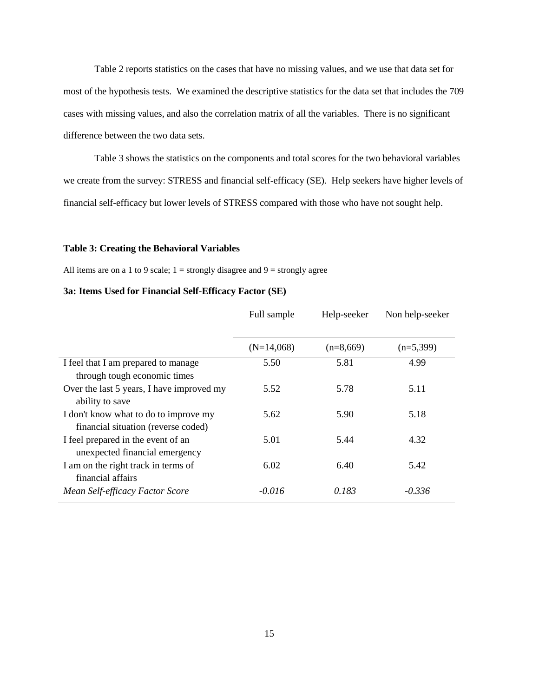Table 2 reports statistics on the cases that have no missing values, and we use that data set for most of the hypothesis tests. We examined the descriptive statistics for the data set that includes the 709 cases with missing values, and also the correlation matrix of all the variables. There is no significant difference between the two data sets.

Table 3 shows the statistics on the components and total scores for the two behavioral variables we create from the survey: STRESS and financial self-efficacy (SE). Help seekers have higher levels of financial self-efficacy but lower levels of STRESS compared with those who have not sought help.

# **Table 3: Creating the Behavioral Variables**

All items are on a 1 to 9 scale;  $1 =$  strongly disagree and  $9 =$  strongly agree

# **3a: Items Used for Financial Self-Efficacy Factor (SE)**

|                                           | Full sample<br>Help-seeker |             | Non help-seeker |  |
|-------------------------------------------|----------------------------|-------------|-----------------|--|
|                                           |                            |             |                 |  |
|                                           | $(N=14,068)$               | $(n=8,669)$ | $(n=5,399)$     |  |
| I feel that I am prepared to manage       | 5.50                       | 5.81        | 4.99            |  |
| through tough economic times              |                            |             |                 |  |
| Over the last 5 years, I have improved my | 5.52                       | 5.78        | 5.11            |  |
| ability to save                           |                            |             |                 |  |
| I don't know what to do to improve my     | 5.62                       | 5.90        | 5.18            |  |
| financial situation (reverse coded)       |                            |             |                 |  |
| I feel prepared in the event of an        | 5.01                       | 5.44        | 4.32            |  |
| unexpected financial emergency            |                            |             |                 |  |
| I am on the right track in terms of       | 6.02                       | 6.40        | 5.42            |  |
| financial affairs                         |                            |             |                 |  |
| Mean Self-efficacy Factor Score           | $-0.016$                   | 0.183       | $-0.336$        |  |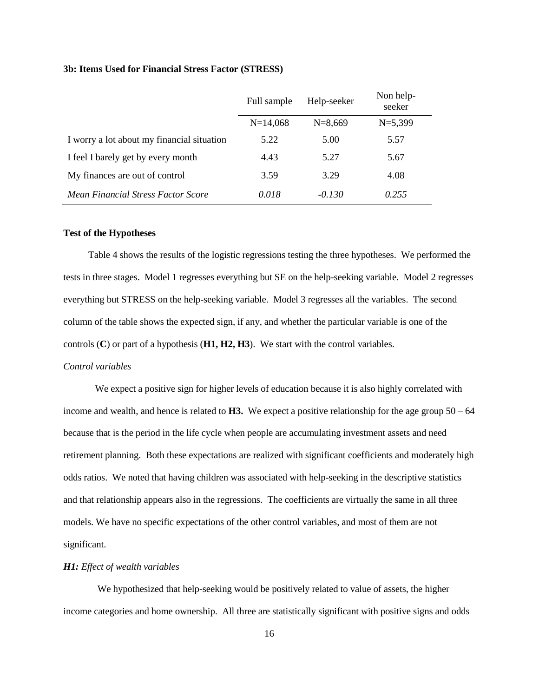|                                            | Full sample | Help-seeker | Non help-<br>seeker |
|--------------------------------------------|-------------|-------------|---------------------|
|                                            | $N=14,068$  | $N=8,669$   | $N=5,399$           |
| I worry a lot about my financial situation | 5.22        | 5.00        | 5.57                |
| I feel I barely get by every month         | 4.43        | 5.27        | 5.67                |
| My finances are out of control             | 3.59        | 3.29        | 4.08                |
| Mean Financial Stress Factor Score         | 0.018       | $-0.130$    | 0.255               |

### **3b: Items Used for Financial Stress Factor (STRESS)**

## **Test of the Hypotheses**

Table 4 shows the results of the logistic regressions testing the three hypotheses. We performed the tests in three stages. Model 1 regresses everything but SE on the help-seeking variable. Model 2 regresses everything but STRESS on the help-seeking variable. Model 3 regresses all the variables. The second column of the table shows the expected sign, if any, and whether the particular variable is one of the controls (**C**) or part of a hypothesis (**H1, H2, H3**). We start with the control variables.

#### *Control variables*

We expect a positive sign for higher levels of education because it is also highly correlated with income and wealth, and hence is related to  $H3$ . We expect a positive relationship for the age group  $50 - 64$ because that is the period in the life cycle when people are accumulating investment assets and need retirement planning. Both these expectations are realized with significant coefficients and moderately high odds ratios. We noted that having children was associated with help-seeking in the descriptive statistics and that relationship appears also in the regressions. The coefficients are virtually the same in all three models. We have no specific expectations of the other control variables, and most of them are not significant.

## *H1: Effect of wealth variables*

We hypothesized that help-seeking would be positively related to value of assets, the higher income categories and home ownership. All three are statistically significant with positive signs and odds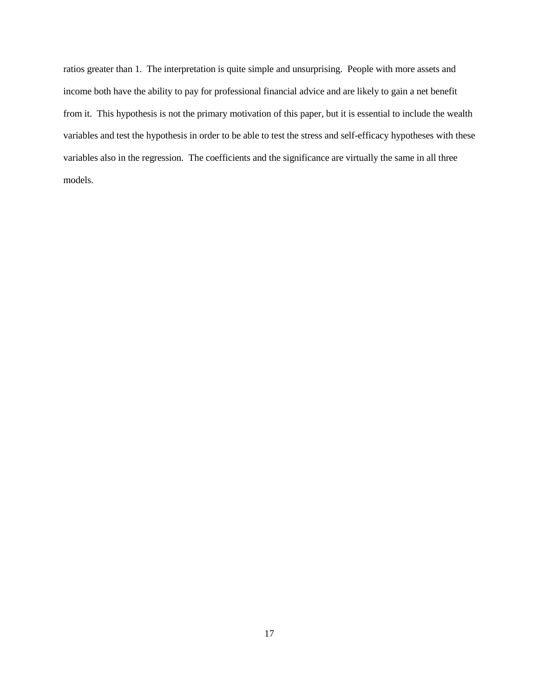ratios greater than 1. The interpretation is quite simple and unsurprising. People with more assets and income both have the ability to pay for professional financial advice and are likely to gain a net benefit from it. This hypothesis is not the primary motivation of this paper, but it is essential to include the wealth variables and test the hypothesis in order to be able to test the stress and self-efficacy hypotheses with these variables also in the regression. The coefficients and the significance are virtually the same in all three models.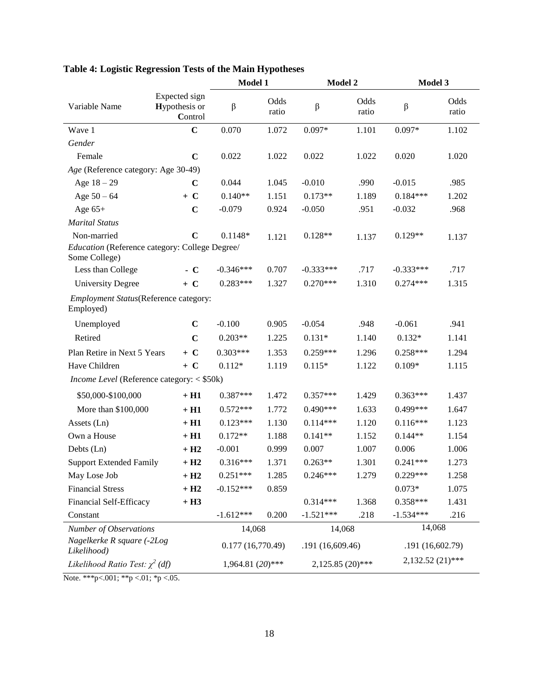|                                                                 |                                                  | <b>Model 1</b>   |               | Model 2          |               | Model 3            |               |
|-----------------------------------------------------------------|--------------------------------------------------|------------------|---------------|------------------|---------------|--------------------|---------------|
| Variable Name                                                   | Expected sign<br><b>Hypothesis</b> or<br>Control | β                | Odds<br>ratio | β                | Odds<br>ratio | β                  | Odds<br>ratio |
| Wave 1                                                          | $\mathbf C$                                      | 0.070            | 1.072         | $0.097*$         | 1.101         | $0.097*$           | 1.102         |
| Gender                                                          |                                                  |                  |               |                  |               |                    |               |
| Female                                                          | $\mathbf C$                                      | 0.022            | 1.022         | 0.022            | 1.022         | 0.020              | 1.020         |
| Age (Reference category: Age 30-49)                             |                                                  |                  |               |                  |               |                    |               |
| Age $18 - 29$                                                   | $\mathbf C$                                      | 0.044            | 1.045         | $-0.010$         | .990          | $-0.015$           | .985          |
| Age $50 - 64$                                                   | $+ C$                                            | $0.140**$        | 1.151         | $0.173**$        | 1.189         | $0.184***$         | 1.202         |
| Age $65+$                                                       | $\mathbf C$                                      | $-0.079$         | 0.924         | $-0.050$         | .951          | $-0.032$           | .968          |
| <b>Marital Status</b>                                           |                                                  |                  |               |                  |               |                    |               |
| Non-married                                                     | $\overline{C}$                                   | $0.1148*$        | 1.121         | $0.128**$        | 1.137         | $0.129**$          | 1.137         |
| Education (Reference category: College Degree/<br>Some College) |                                                  |                  |               |                  |               |                    |               |
| Less than College                                               | $-C$                                             | $-0.346***$      | 0.707         | $-0.333***$      | .717          | $-0.333***$        | .717          |
| <b>University Degree</b>                                        | $+ C$                                            | $0.283***$       | 1.327         | $0.270***$       | 1.310         | $0.274***$         | 1.315         |
| <b>Employment Status</b> (Reference category:<br>Employed)      |                                                  |                  |               |                  |               |                    |               |
| Unemployed                                                      | $\mathbf C$                                      | $-0.100$         | 0.905         | $-0.054$         | .948          | $-0.061$           | .941          |
| Retired                                                         | $\mathbf C$                                      | $0.203**$        | 1.225         | $0.131*$         | 1.140         | $0.132*$           | 1.141         |
| Plan Retire in Next 5 Years                                     | $+ C$                                            | $0.303***$       | 1.353         | $0.259***$       | 1.296         | $0.258***$         | 1.294         |
| Have Children                                                   | $+ C$                                            | $0.112*$         | 1.119         | $0.115*$         | 1.122         | $0.109*$           | 1.115         |
| <i>Income Level</i> (Reference category: $<$ \$50k)             |                                                  |                  |               |                  |               |                    |               |
| \$50,000-\$100,000                                              | $+ H1$                                           | $0.387***$       | 1.472         | $0.357***$       | 1.429         | $0.363***$         | 1.437         |
| More than \$100,000                                             | $+ H1$                                           | $0.572***$       | 1.772         | $0.490***$       | 1.633         | $0.499***$         | 1.647         |
| Assets (Ln)                                                     | $+ H1$                                           | $0.123***$       | 1.130         | $0.114***$       | 1.120         | $0.116***$         | 1.123         |
| Own a House                                                     | $+ H1$                                           | $0.172**$        | 1.188         | $0.141**$        | 1.152         | $0.144**$          | 1.154         |
| Debts (Ln)                                                      | $+ H2$                                           | $-0.001$         | 0.999         | 0.007            | 1.007         | 0.006              | 1.006         |
| <b>Support Extended Family</b>                                  | $+ H2$                                           | $0.316***$       | 1.371         | $0.263**$        | 1.301         | $0.241***$         | 1.273         |
| May Lose Job                                                    | + H <sub>2</sub>                                 | $0.251***$       | 1.285         | $0.246***$       | 1.279         | 0.229***           | 1.258         |
| <b>Financial Stress</b>                                         | $+ H2$                                           | $-0.152***$      | 0.859         |                  |               | $0.073*$           | 1.075         |
| <b>Financial Self-Efficacy</b>                                  | $+ H3$                                           |                  |               | $0.314***$       | 1.368         | 0.358***           | 1.431         |
| Constant                                                        |                                                  | $-1.612***$      | 0.200         | $-1.521***$      | .218          | $-1.534***$        | .216          |
| Number of Observations                                          |                                                  | 14,068           |               | 14,068           |               | 14,068             |               |
| Nagelkerke R square (-2Log<br>Likelihood)                       |                                                  | 0.177(16,770.49) |               | .191 (16,609.46) |               | .191 (16,602.79)   |               |
| Likelihood Ratio Test: $\chi^2$ (df)                            |                                                  | 1,964.81 (20)*** |               | 2,125.85 (20)*** |               | $2,132.52(21)$ *** |               |

# **Table 4: Logistic Regression Tests of the Main Hypotheses**

Note. \*\*\*p<.001; \*\*p <.01; \*p <.05.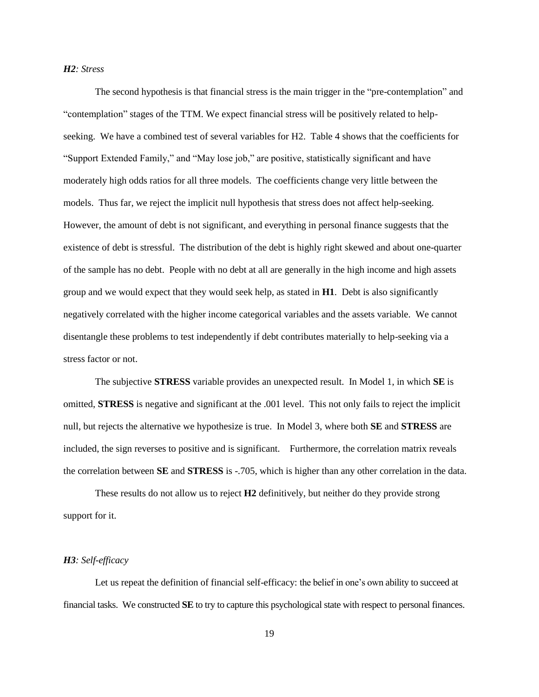# *H2: Stress*

The second hypothesis is that financial stress is the main trigger in the "pre-contemplation" and "contemplation" stages of the TTM. We expect financial stress will be positively related to helpseeking. We have a combined test of several variables for H2. Table 4 shows that the coefficients for "Support Extended Family," and "May lose job," are positive, statistically significant and have moderately high odds ratios for all three models. The coefficients change very little between the models. Thus far, we reject the implicit null hypothesis that stress does not affect help-seeking. However, the amount of debt is not significant, and everything in personal finance suggests that the existence of debt is stressful. The distribution of the debt is highly right skewed and about one-quarter of the sample has no debt. People with no debt at all are generally in the high income and high assets group and we would expect that they would seek help, as stated in **H1**. Debt is also significantly negatively correlated with the higher income categorical variables and the assets variable. We cannot disentangle these problems to test independently if debt contributes materially to help-seeking via a stress factor or not.

The subjective **STRESS** variable provides an unexpected result. In Model 1, in which **SE** is omitted, **STRESS** is negative and significant at the .001 level. This not only fails to reject the implicit null, but rejects the alternative we hypothesize is true. In Model 3, where both **SE** and **STRESS** are included, the sign reverses to positive and is significant. Furthermore, the correlation matrix reveals the correlation between **SE** and **STRESS** is -.705, which is higher than any other correlation in the data.

These results do not allow us to reject **H2** definitively, but neither do they provide strong support for it.

# *H3: Self-efficacy*

Let us repeat the definition of financial self-efficacy: the belief in one's own ability to succeed at financial tasks. We constructed **SE** to try to capture this psychological state with respect to personal finances.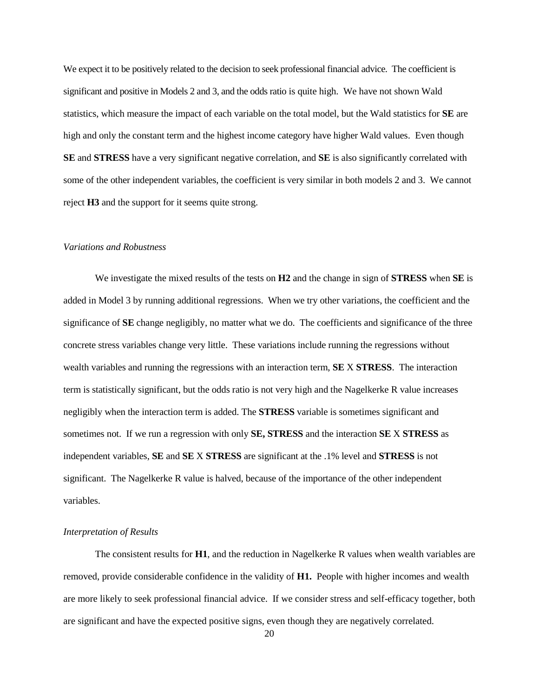We expect it to be positively related to the decision to seek professional financial advice. The coefficient is significant and positive in Models 2 and 3, and the odds ratio is quite high. We have not shown Wald statistics, which measure the impact of each variable on the total model, but the Wald statistics for **SE** are high and only the constant term and the highest income category have higher Wald values. Even though **SE** and **STRESS** have a very significant negative correlation, and **SE** is also significantly correlated with some of the other independent variables, the coefficient is very similar in both models 2 and 3. We cannot reject **H3** and the support for it seems quite strong.

# *Variations and Robustness*

We investigate the mixed results of the tests on **H2** and the change in sign of **STRESS** when **SE** is added in Model 3 by running additional regressions. When we try other variations, the coefficient and the significance of **SE** change negligibly, no matter what we do. The coefficients and significance of the three concrete stress variables change very little. These variations include running the regressions without wealth variables and running the regressions with an interaction term, **SE** X **STRESS**. The interaction term is statistically significant, but the odds ratio is not very high and the Nagelkerke R value increases negligibly when the interaction term is added. The **STRESS** variable is sometimes significant and sometimes not. If we run a regression with only **SE, STRESS** and the interaction **SE** X **STRESS** as independent variables, **SE** and **SE** X **STRESS** are significant at the .1% level and **STRESS** is not significant. The Nagelkerke R value is halved, because of the importance of the other independent variables.

#### *Interpretation of Results*

The consistent results for **H1**, and the reduction in Nagelkerke R values when wealth variables are removed, provide considerable confidence in the validity of **H1.** People with higher incomes and wealth are more likely to seek professional financial advice. If we consider stress and self-efficacy together, both are significant and have the expected positive signs, even though they are negatively correlated.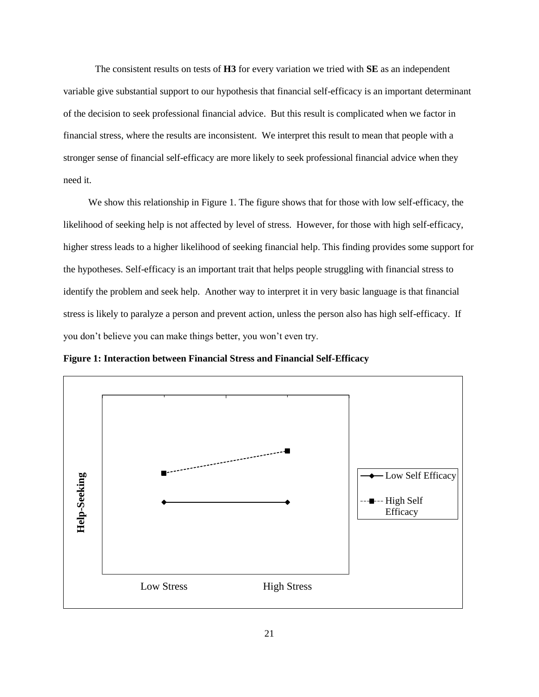The consistent results on tests of **H3** for every variation we tried with **SE** as an independent variable give substantial support to our hypothesis that financial self-efficacy is an important determinant of the decision to seek professional financial advice. But this result is complicated when we factor in financial stress, where the results are inconsistent. We interpret this result to mean that people with a stronger sense of financial self-efficacy are more likely to seek professional financial advice when they need it.

We show this relationship in Figure 1. The figure shows that for those with low self-efficacy, the likelihood of seeking help is not affected by level of stress. However, for those with high self-efficacy, higher stress leads to a higher likelihood of seeking financial help. This finding provides some support for the hypotheses. Self-efficacy is an important trait that helps people struggling with financial stress to identify the problem and seek help. Another way to interpret it in very basic language is that financial stress is likely to paralyze a person and prevent action, unless the person also has high self-efficacy. If you don't believe you can make things better, you won't even try.

**Figure 1: Interaction between Financial Stress and Financial Self-Efficacy**

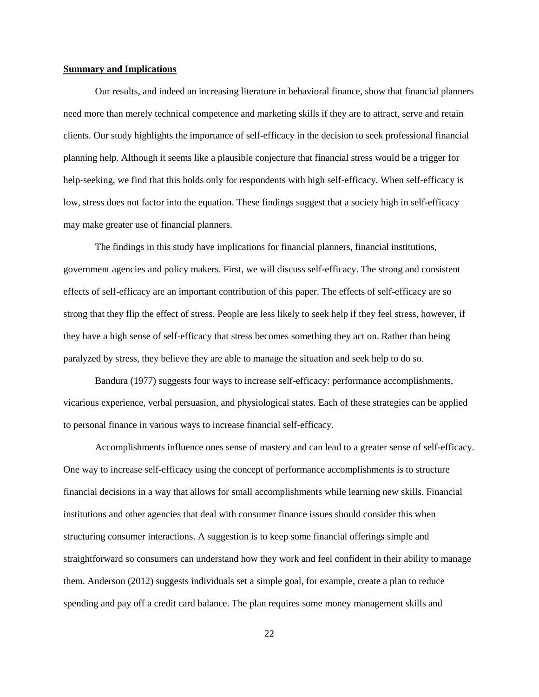## **Summary and Implications**

Our results, and indeed an increasing literature in behavioral finance, show that financial planners need more than merely technical competence and marketing skills if they are to attract, serve and retain clients. Our study highlights the importance of self-efficacy in the decision to seek professional financial planning help. Although it seems like a plausible conjecture that financial stress would be a trigger for help-seeking, we find that this holds only for respondents with high self-efficacy. When self-efficacy is low, stress does not factor into the equation. These findings suggest that a society high in self-efficacy may make greater use of financial planners.

The findings in this study have implications for financial planners, financial institutions, government agencies and policy makers. First, we will discuss self-efficacy. The strong and consistent effects of self-efficacy are an important contribution of this paper. The effects of self-efficacy are so strong that they flip the effect of stress. People are less likely to seek help if they feel stress, however, if they have a high sense of self-efficacy that stress becomes something they act on. Rather than being paralyzed by stress, they believe they are able to manage the situation and seek help to do so.

Bandura (1977) suggests four ways to increase self-efficacy: performance accomplishments, vicarious experience, verbal persuasion, and physiological states. Each of these strategies can be applied to personal finance in various ways to increase financial self-efficacy.

Accomplishments influence ones sense of mastery and can lead to a greater sense of self-efficacy. One way to increase self-efficacy using the concept of performance accomplishments is to structure financial decisions in a way that allows for small accomplishments while learning new skills. Financial institutions and other agencies that deal with consumer finance issues should consider this when structuring consumer interactions. A suggestion is to keep some financial offerings simple and straightforward so consumers can understand how they work and feel confident in their ability to manage them. Anderson (2012) suggests individuals set a simple goal, for example, create a plan to reduce spending and pay off a credit card balance. The plan requires some money management skills and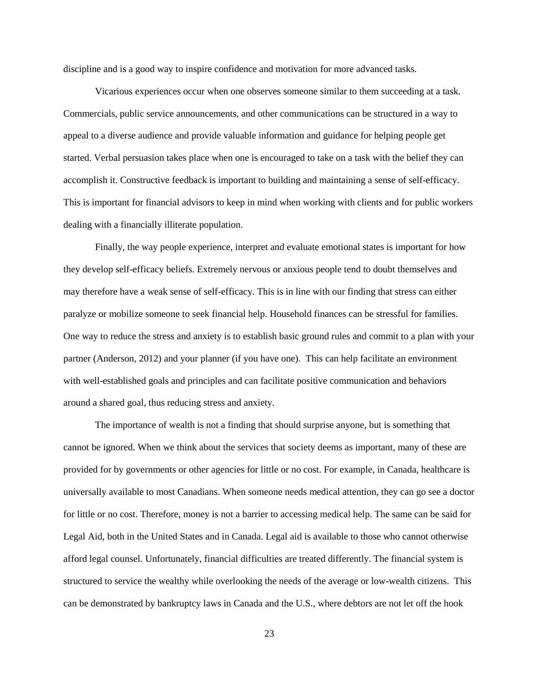discipline and is a good way to inspire confidence and motivation for more advanced tasks.

Vicarious experiences occur when one observes someone similar to them succeeding at a task. Commercials, public service announcements, and other communications can be structured in a way to appeal to a diverse audience and provide valuable information and guidance for helping people get started. Verbal persuasion takes place when one is encouraged to take on a task with the belief they can accomplish it. Constructive feedback is important to building and maintaining a sense of self-efficacy. This is important for financial advisors to keep in mind when working with clients and for public workers dealing with a financially illiterate population.

Finally, the way people experience, interpret and evaluate emotional states is important for how they develop self-efficacy beliefs. Extremely nervous or anxious people tend to doubt themselves and may therefore have a weak sense of self-efficacy. This is in line with our finding that stress can either paralyze or mobilize someone to seek financial help. Household finances can be stressful for families. One way to reduce the stress and anxiety is to establish basic ground rules and commit to a plan with your partner (Anderson, 2012) and your planner (if you have one). This can help facilitate an environment with well-established goals and principles and can facilitate positive communication and behaviors around a shared goal, thus reducing stress and anxiety.

The importance of wealth is not a finding that should surprise anyone, but is something that cannot be ignored. When we think about the services that society deems as important, many of these are provided for by governments or other agencies for little or no cost. For example, in Canada, healthcare is universally available to most Canadians. When someone needs medical attention, they can go see a doctor for little or no cost. Therefore, money is not a barrier to accessing medical help. The same can be said for Legal Aid, both in the United States and in Canada. Legal aid is available to those who cannot otherwise afford legal counsel. Unfortunately, financial difficulties are treated differently. The financial system is structured to service the wealthy while overlooking the needs of the average or low-wealth citizens. This can be demonstrated by bankruptcy laws in Canada and the U.S., where debtors are not let off the hook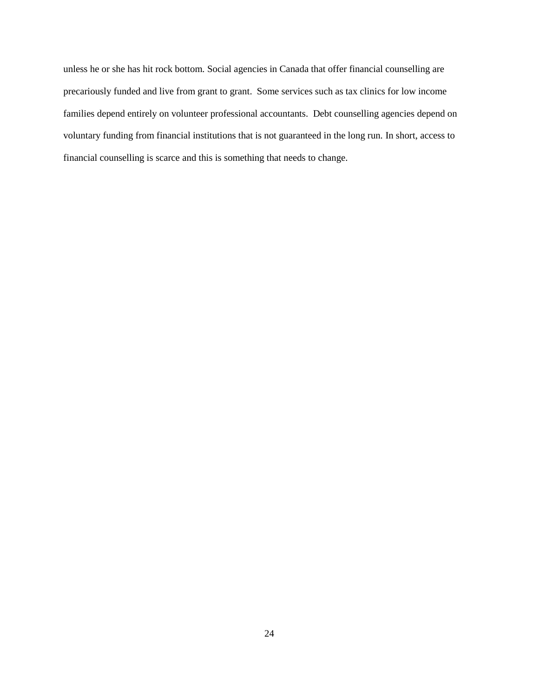unless he or she has hit rock bottom. Social agencies in Canada that offer financial counselling are precariously funded and live from grant to grant. Some services such as tax clinics for low income families depend entirely on volunteer professional accountants. Debt counselling agencies depend on voluntary funding from financial institutions that is not guaranteed in the long run. In short, access to financial counselling is scarce and this is something that needs to change.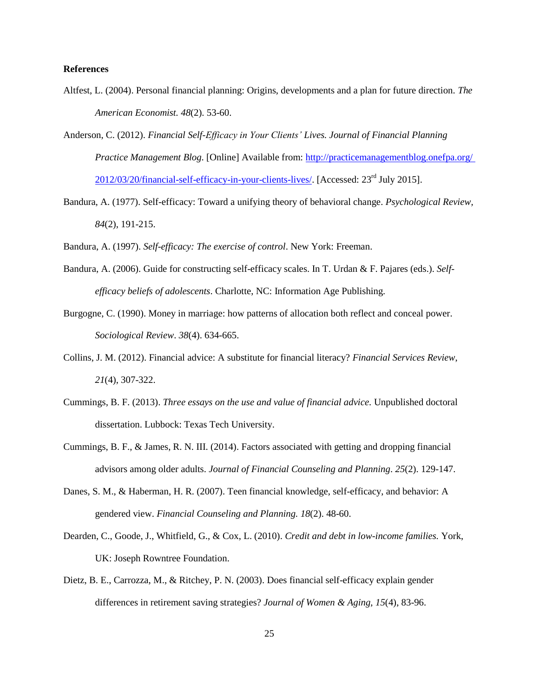#### **References**

- Altfest, L. (2004). Personal financial planning: Origins, developments and a plan for future direction. *The American Economist. 48*(2). 53-60.
- Anderson, C. (2012). *Financial Self-Efficacy in Your Clients' Lives. Journal of Financial Planning Practice Management Blog*. [Online] Available from: [http://practicemanagementblog.onefpa.org/](http://practicemanagementblog.onefpa.org/%202012/03/20/financial-self-efficacy-in-your-clients-lives/)  [2012/03/20/financial-self-efficacy-in-your-clients-lives/.](http://practicemanagementblog.onefpa.org/%202012/03/20/financial-self-efficacy-in-your-clients-lives/) [Accessed: 23rd July 2015].
- Bandura, A. (1977). Self-efficacy: Toward a unifying theory of behavioral change. *Psychological Review, 84*(2), 191-215.
- Bandura, A. (1997). *Self-efficacy: The exercise of control*. New York: Freeman.
- Bandura, A. (2006). Guide for constructing self-efficacy scales. In T. Urdan & F. Pajares (eds.). *Selfefficacy beliefs of adolescents*. Charlotte, NC: Information Age Publishing.
- Burgogne, C. (1990). Money in marriage: how patterns of allocation both reflect and conceal power. *Sociological Review*. *38*(4). 634-665.
- Collins, J. M. (2012). Financial advice: A substitute for financial literacy? *Financial Services Review*, *21*(4), 307-322.
- Cummings, B. F. (2013). *Three essays on the use and value of financial advice.* Unpublished doctoral dissertation. Lubbock: Texas Tech University.
- Cummings, B. F., & James, R. N. III. (2014). Factors associated with getting and dropping financial advisors among older adults. *Journal of Financial Counseling and Planning*. *25*(2). 129-147.
- Danes, S. M., & Haberman, H. R. (2007). Teen financial knowledge, self-efficacy, and behavior: A gendered view. *Financial Counseling and Planning. 18*(2). 48-60.
- Dearden, C., Goode, J., Whitfield, G., & Cox, L. (2010). *Credit and debt in low-income families.* York, UK: Joseph Rowntree Foundation.
- Dietz, B. E., Carrozza, M., & Ritchey, P. N. (2003). Does financial self-efficacy explain gender differences in retirement saving strategies? *Journal of Women & Aging, 15*(4), 83-96.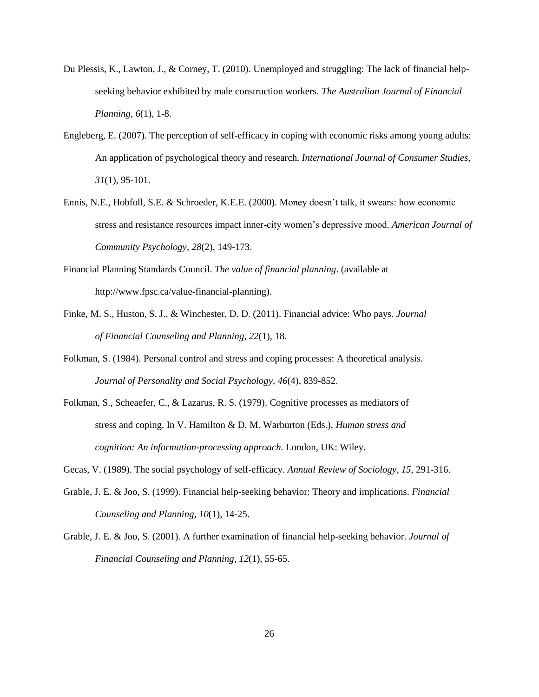- Du Plessis, K., Lawton, J., & Corney, T. (2010). Unemployed and struggling: The lack of financial helpseeking behavior exhibited by male construction workers. *The Australian Journal of Financial Planning*, *6*(1), 1-8.
- Engleberg, E. (2007). The perception of self-efficacy in coping with economic risks among young adults: An application of psychological theory and research. *International Journal of Consumer Studies*, *31*(1), 95-101.
- Ennis, N.E., Hobfoll, S.E. & Schroeder, K.E.E. (2000). Money doesn't talk, it swears: how economic stress and resistance resources impact inner-city women's depressive mood. *American Journal of Community Psychology*, *28*(2)*,* 149-173.
- Financial Planning Standards Council. *The value of financial planning*. (available a[t](http://www.fpsc.ca/value-financial-planning) [http://www.fpsc.ca/value-financial-planning\)](http://www.fpsc.ca/value-financial-planning).
- Finke, M. S., Huston, S. J., & Winchester, D. D. (2011). Financial advice: Who pays. *Journal of Financial Counseling and Planning*, *22*(1), 18.
- Folkman, S. (1984). Personal control and stress and coping processes: A theoretical analysis. *Journal of Personality and Social Psychology, 46*(4), 839-852.
- Folkman, S., Scheaefer, C., & Lazarus, R. S. (1979). Cognitive processes as mediators of stress and coping. In V. Hamilton & D. M. Warburton (Eds.), *Human stress and cognition: An information-processing approach.* London, UK: Wiley.
- Gecas, V. (1989). The social psychology of self-efficacy. *Annual Review of Sociology*, *15*, 291-316.
- Grable, J. E. & Joo, S. (1999). Financial help-seeking behavior: Theory and implications. *Financial Counseling and Planning, 10*(1), 14-25.
- Grable, J. E. & Joo, S. (2001). A further examination of financial help-seeking behavior. *Journal of Financial Counseling and Planning, 12*(1), 55-65.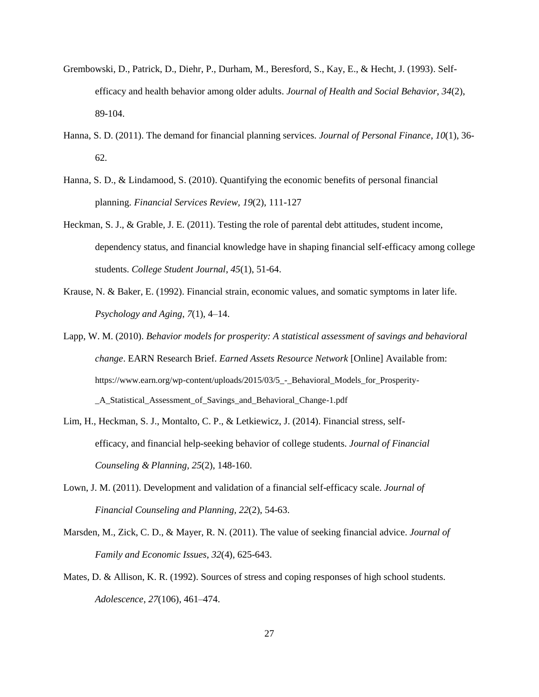- Grembowski, D., Patrick, D., Diehr, P., Durham, M., Beresford, S., Kay, E., & Hecht, J. (1993). Selfefficacy and health behavior among older adults. *Journal of Health and Social Behavior*, *34*(2), 89-104.
- Hanna, S. D. (2011). The demand for financial planning services. *Journal of Personal Finance*, *10*(1), 36- 62.
- Hanna, S. D., & Lindamood, S. (2010). Quantifying the economic benefits of personal financial planning. *Financial Services Review, 19*(2), 111-127
- Heckman, S. J., & Grable, J. E. (2011). Testing the role of parental debt attitudes, student income, dependency status, and financial knowledge have in shaping financial self-efficacy among college students. *College Student Journal*, *45*(1), 51-64.
- Krause, N. & Baker, E. (1992). Financial strain, economic values, and somatic symptoms in later life. *Psychology and Aging*, *7*(1), 4–14.
- Lapp, W. M. (2010). *Behavior models for prosperity: A statistical assessment of savings and behavioral change*. EARN Research Brief. *Earned Assets Resource Network* [Online] Available from: https://www.earn.org/wp-content/uploads/2015/03/5 - Behavioral Models for Prosperity-\_A\_Statistical\_Assessment\_of\_Savings\_and\_Behavioral\_Change-1.pdf
- Lim, H., Heckman, S. J., Montalto, C. P., & Letkiewicz, J. (2014). Financial stress, selfefficacy, and financial help-seeking behavior of college students. *Journal of Financial Counseling & Planning, 25*(2), 148-160.
- Lown, J. M. (2011). Development and validation of a financial self-efficacy scale. *Journal of Financial Counseling and Planning, 22*(2), 54-63.
- Marsden, M., Zick, C. D., & Mayer, R. N. (2011). The value of seeking financial advice. *Journal of Family and Economic Issues*, *32*(4), 625-643.
- Mates, D. & Allison, K. R. (1992). Sources of stress and coping responses of high school students. *Adolescence*, *27*(106), 461–474.